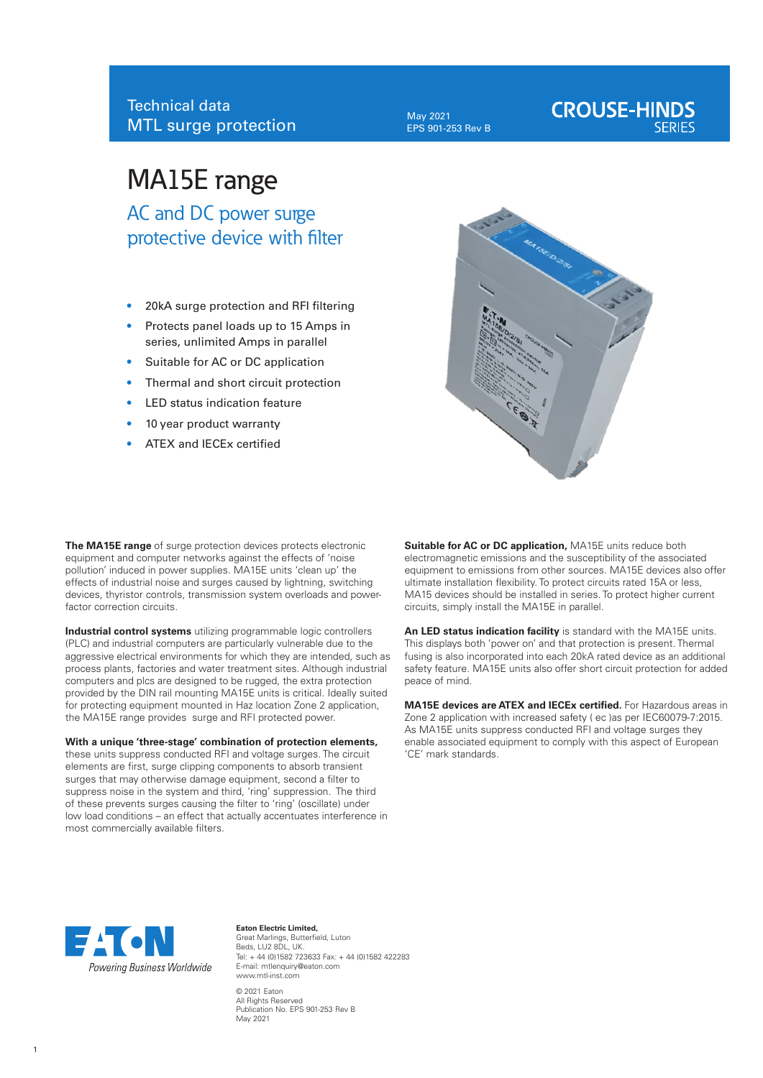May 2021 EPS 901-253 Rev B

# **CROUSE-HINDS**

## MA15E range

AC and DC power surge protective device with filter

- 20kA surge protection and RFI filtering
- Protects panel loads up to 15 Amps in series, unlimited Amps in parallel
- Suitable for AC or DC application
- Thermal and short circuit protection
- LED status indication feature
- 10 year product warranty
- ATEX and IECEx certified



**The MA15E range** of surge protection devices protects electronic equipment and computer networks against the effects of 'noise pollution' induced in power supplies. MA15E units 'clean up' the effects of industrial noise and surges caused by lightning, switching devices, thyristor controls, transmission system overloads and powerfactor correction circuits.

**Industrial control systems** utilizing programmable logic controllers (PLC) and industrial computers are particularly vulnerable due to the aggressive electrical environments for which they are intended, such as process plants, factories and water treatment sites. Although industrial computers and plcs are designed to be rugged, the extra protection provided by the DIN rail mounting MA15E units is critical. Ideally suited for protecting equipment mounted in Haz location Zone 2 application, the MA15E range provides surge and RFI protected power.

#### **With a unique 'three-stage' combination of protection elements,**

these units suppress conducted RFI and voltage surges. The circuit elements are first, surge clipping components to absorb transient surges that may otherwise damage equipment, second a filter to suppress noise in the system and third, 'ring' suppression. The third of these prevents surges causing the filter to 'ring' (oscillate) under low load conditions – an effect that actually accentuates interference in most commercially available filters.

**Suitable for AC or DC application,** MA15E units reduce both electromagnetic emissions and the susceptibility of the associated equipment to emissions from other sources. MA15E devices also offer ultimate installation flexibility. To protect circuits rated 15A or less, MA15 devices should be installed in series. To protect higher current circuits, simply install the MA15E in parallel.

**An LED status indication facility** is standard with the MA15E units. This displays both 'power on' and that protection is present. Thermal fusing is also incorporated into each 20kA rated device as an additional safety feature. MA15E units also offer short circuit protection for added peace of mind.

**MA15E devices are ATEX and IECEx certified.** For Hazardous areas in Zone 2 application with increased safety ( ec )as per IEC60079-7:2015. As MA15E units suppress conducted RFI and voltage surges they enable associated equipment to comply with this aspect of European 'CE' mark standards.



**Eaton Electric Limited,** Great Marlings, Butterfield, Luton Beds, LU2 8DL, UK. Tel: + 44 (0)1582 723633 Fax: + 44 (0)1582 422283 E-mail: mtlenquiry@eaton.com www.mtl-inst.com © 2021 Eaton All Rights Reserved Publication No. EPS 901-253 Rev B May 2021